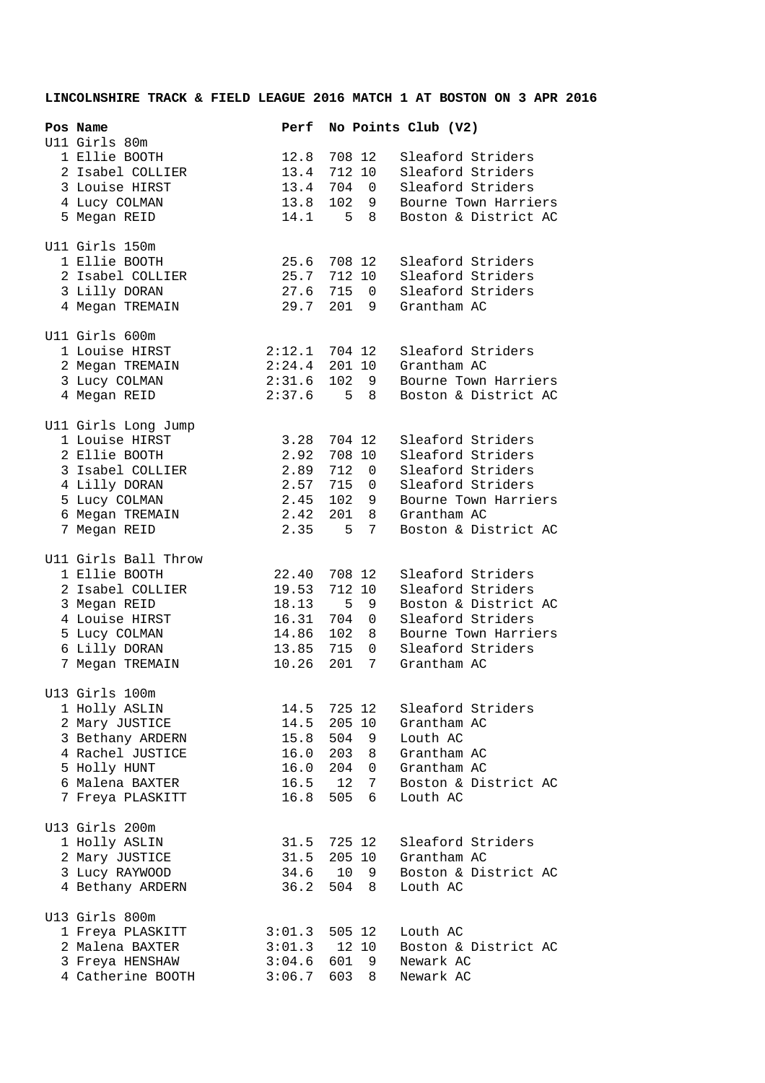## **LINCOLNSHIRE TRACK & FIELD LEAGUE 2016 MATCH 1 AT BOSTON ON 3 APR 2016**

| Pos Name<br>U11 Girls 80m             | Perf            |               |                          | No Points Club (V2)  |
|---------------------------------------|-----------------|---------------|--------------------------|----------------------|
| 1 Ellie BOOTH                         | 12.8            | 708 12        |                          | Sleaford Striders    |
| 2 Isabel COLLIER                      | 13.4            | 712 10        |                          | Sleaford Striders    |
| 3 Louise HIRST                        | 13.4            | 704           | $\overline{0}$           | Sleaford Striders    |
| 4 Lucy COLMAN                         | 13.8            |               | 102 9                    | Bourne Town Harriers |
| 5 Megan REID                          | 14.1            | $5 -$         | 8                        | Boston & District AC |
|                                       |                 |               |                          |                      |
| Ull Girls 150m<br>1 Ellie BOOTH       | 25.6            | 708 12        |                          | Sleaford Striders    |
| 2 Isabel COLLIER                      | 25.7            | 712 10        |                          | Sleaford Striders    |
| 3 Lilly DORAN                         | 27.6            | 715           | $\overline{0}$           | Sleaford Striders    |
| 4 Megan TREMAIN                       | 29.7            | 201           | 9                        | Grantham AC          |
|                                       |                 |               |                          |                      |
| U11 Girls 600m<br>1 Louise HIRST      | $2:12.1$ 704 12 |               |                          | Sleaford Striders    |
| 2 Megan TREMAIN                       | 2:24.4          |               | 201 10                   | Grantham AC          |
| 3 Lucy COLMAN                         | 2:31.6          |               | 102 9                    | Bourne Town Harriers |
| 4 Megan REID                          | 2:37.6          |               | 5 8                      | Boston & District AC |
|                                       |                 |               |                          |                      |
| Ull Girls Long Jump<br>1 Louise HIRST | 3.28            | 704 12        |                          | Sleaford Striders    |
| 2 Ellie BOOTH                         | 2.92            | 708 10        |                          | Sleaford Striders    |
| 3 Isabel COLLIER                      | 2.89            | 712           | 0                        | Sleaford Striders    |
| 4 Lilly DORAN                         | 2.57            | 715           | $\overline{0}$           | Sleaford Striders    |
| 5 Lucy COLMAN                         | 2.45            | 102           | 9                        | Bourne Town Harriers |
| 6 Megan TREMAIN                       | 2.42            | 201           | 8                        | Grantham AC          |
| 7 Megan REID                          | 2.35            | 5             | 7                        | Boston & District AC |
|                                       |                 |               |                          |                      |
| Ull Girls Ball Throw                  |                 |               |                          |                      |
| 1 Ellie BOOTH                         | 22.40           | 708 12        |                          | Sleaford Striders    |
| 2 Isabel COLLIER                      | 19.53           | 712 10        |                          | Sleaford Striders    |
| 3 Megan REID                          | 18.13           | 5             | - 9                      | Boston & District AC |
| 4 Louise HIRST                        | 16.31           | 704 0         |                          | Sleaford Striders    |
| 5 Lucy COLMAN                         | 14.86           | 102           | 8 <sup>8</sup>           | Bourne Town Harriers |
| 6 Lilly DORAN                         | 13.85           | 715           | 0                        | Sleaford Striders    |
| 7 Megan TREMAIN                       | 10.26           | 201           | 7                        | Grantham AC          |
| U13 Girls 100m<br>1 Holly ASLIN       | 14.5 725 12     |               |                          | Sleaford Striders    |
|                                       |                 |               |                          | Grantham AC          |
| 2 Mary JUSTICE<br>3 Bethany ARDERN    | 14.5<br>15.8    | 205 10<br>504 |                          | Louth AC             |
| 4 Rachel JUSTICE                      | 16.0 203        |               | 9<br>8 <sup>8</sup>      | Grantham AC          |
| 5 Holly HUNT                          | 16.0 204        |               | $\overline{\phantom{0}}$ | Grantham AC          |
| 6 Malena BAXTER                       | $16.5$ 12       |               | 7                        | Boston & District AC |
|                                       |                 | 505           | 6                        | Louth AC             |
| 7 Freya PLASKITT                      | 16.8            |               |                          |                      |
| U13 Girls 200m                        |                 |               |                          |                      |
| 1 Holly ASLIN                         | 31.5 725 12     |               |                          | Sleaford Striders    |
| 2 Mary JUSTICE                        | 31.5            |               | 205 10                   | Grantham AC          |
| 3 Lucy RAYWOOD                        | 34.6            | 10            | - 9                      | Boston & District AC |
| 4 Bethany ARDERN                      | 36.2            | 504           | 8 <sup>8</sup>           | Louth AC             |
| U13 Girls 800m                        |                 |               |                          |                      |
| 1 Freya PLASKITT                      | $3:01.3$ 505 12 |               |                          | Louth AC             |
| 2 Malena BAXTER                       | 3:01.3          |               | 12 10                    | Boston & District AC |
| 3 Freya HENSHAW                       | 3:04.6          | 601           | 9                        | Newark AC            |
| 4 Catherine BOOTH                     | 3:06.7          | 603 8         |                          | Newark AC            |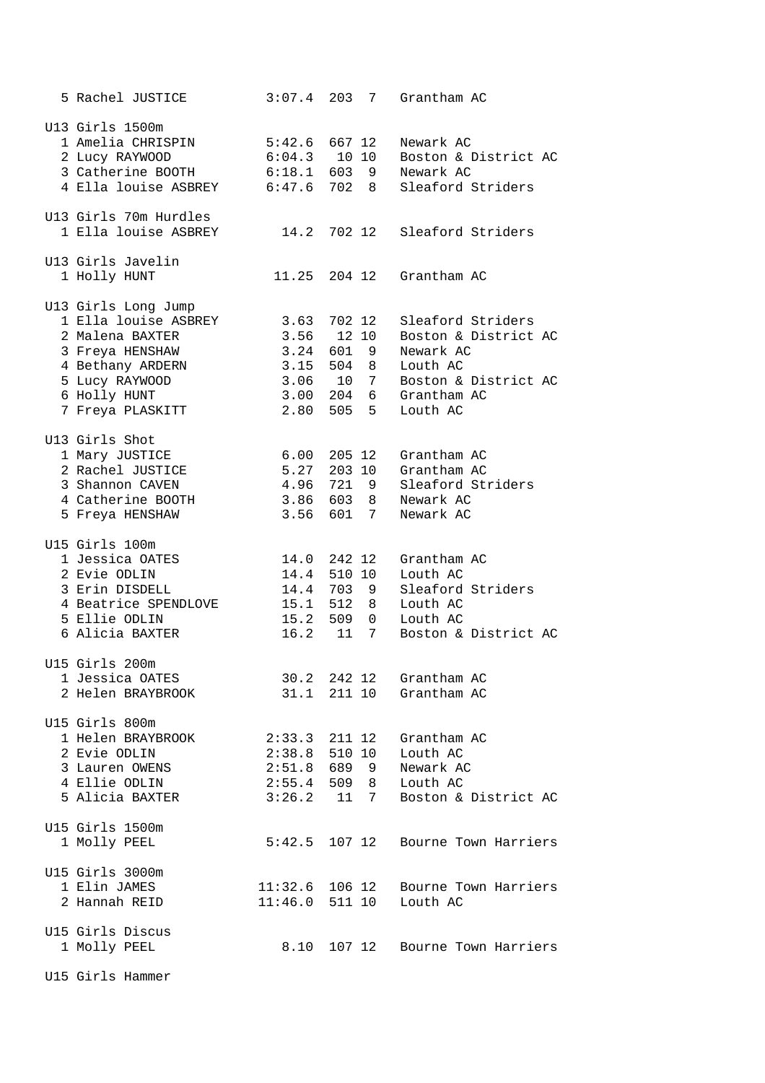| 5 Rachel JUSTICE                     | 3:07.4                   | 203    | 7      | Grantham AC                        |
|--------------------------------------|--------------------------|--------|--------|------------------------------------|
| U13 Girls 1500m<br>1 Amelia CHRISPIN | $5:42.6$ 667 12          |        |        | Newark AC                          |
| 2 Lucy RAYWOOD                       | $6:04.3$ 10 10           |        |        | Boston & District AC               |
| 3 Catherine BOOTH                    | $6:18.1$ 603 9           |        |        | Newark AC                          |
| 4 Ella louise ASBREY                 |                          |        |        | 6:47.6 702 8 Sleaford Striders     |
|                                      |                          |        |        |                                    |
| U13 Girls 70m Hurdles                |                          |        |        |                                    |
| 1 Ella louise ASBREY                 |                          |        |        | 14.2 702 12 Sleaford Striders      |
| U13 Girls Javelin                    |                          |        |        |                                    |
| 1 Holly HUNT                         |                          |        |        | 11.25 204 12 Grantham AC           |
| U13 Girls Long Jump                  |                          |        |        |                                    |
| 1 Ella louise ASBREY                 | 3.63 702 12              |        |        | Sleaford Striders                  |
| 2 Malena BAXTER                      | 3.56 12 10               |        |        | Boston & District AC               |
| 3 Freya HENSHAW                      | 3.24 601 9               |        |        | Newark AC                          |
| 4 Bethany ARDERN                     | 3.15 504 8               |        |        | Louth AC                           |
| 5 Lucy RAYWOOD                       | 3.06 10 7                |        |        | Boston & District AC               |
| 6 Holly HUNT                         |                          |        |        | 3.00 204 6 Grantham AC             |
| 7 Freya PLASKITT                     | 2.80 505 5               |        |        | Louth AC                           |
| U13 Girls Shot                       | 6.00 205 12              |        |        | Grantham AC                        |
| 1 Mary JUSTICE<br>2 Rachel JUSTICE   | 5.27 203 10              |        |        | Grantham AC                        |
| 3 Shannon CAVEN                      | 4.96 721 9               |        |        | Sleaford Striders                  |
| 4 Catherine BOOTH                    |                          |        |        | Newark AC                          |
| 5 Freya HENSHAW                      | 3.86 603 8<br>3.56 601 7 |        |        | Newark AC                          |
|                                      |                          |        |        |                                    |
| U15 Girls 100m                       |                          |        |        |                                    |
| 1 Jessica OATES                      | 14.0 242 12              |        |        | Grantham AC                        |
| 2 Evie ODLIN                         | 14.4 510 10              |        |        | Louth AC                           |
| 3 Erin DISDELL                       | 14.4 703 9               |        |        | Sleaford Striders                  |
| 4 Beatrice SPENDLOVE                 | 15.1 512 8               |        |        | Louth AC<br>Louth AC               |
| 5 Ellie ODLIN                        | 15.2 509 0               | 11     | 7      |                                    |
| 6 Alicia BAXTER                      | 16.2                     |        |        | Boston & District AC               |
| U15 Girls 200m<br>1 Jessica OATES    | 30.2 242 12              |        |        | Grantham AC                        |
| 2 Helen BRAYBROOK                    | 31.1                     |        | 211 10 | Grantham AC                        |
|                                      |                          |        |        |                                    |
| U15 Girls 800m                       |                          |        |        |                                    |
| 1 Helen BRAYBROOK                    | $2:33.3$ $211$ $12$      |        |        | Grantham AC                        |
| 2 Evie ODLIN                         | $2:38.8$ 510 10          |        |        | Louth AC                           |
| 3 Lauren OWENS                       | $2:51.8$ 689 9           |        |        | Newark AC                          |
| 4 Ellie ODLIN                        |                          |        |        | 2:55.4 509 8 Louth AC              |
| 5 Alicia BAXTER                      |                          |        |        | $3:26.2$ 11 7 Boston & District AC |
| U15 Girls 1500m                      |                          |        |        |                                    |
| 1 Molly PEEL                         | 5:42.5                   |        | 107 12 | Bourne Town Harriers               |
| U15 Girls 3000m                      |                          |        |        |                                    |
| 1 Elin JAMES                         | $11:32.6$ 106 12         |        |        | Bourne Town Harriers               |
| 2 Hannah REID                        | $11:46.0$ 511 10         |        |        | Louth AC                           |
|                                      |                          |        |        |                                    |
| U15 Girls Discus                     |                          |        |        |                                    |
| 1 Molly PEEL                         | 8.10                     | 107 12 |        | Bourne Town Harriers               |
|                                      |                          |        |        |                                    |

U15 Girls Hammer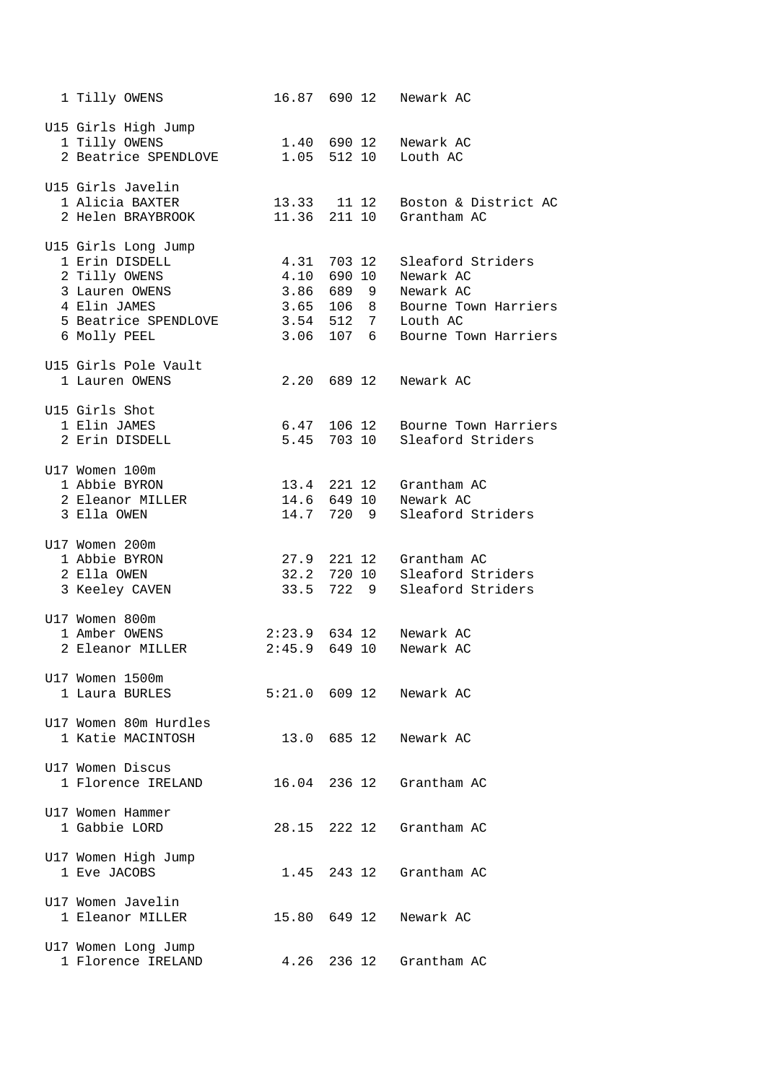| 1 Tilly OWENS                                                                                                                    |       | 16.87 690 12                                                                             | Newark AC                                                                                               |
|----------------------------------------------------------------------------------------------------------------------------------|-------|------------------------------------------------------------------------------------------|---------------------------------------------------------------------------------------------------------|
| U15 Girls High Jump<br>1 Tilly OWENS<br>2 Beatrice SPENDLOVE                                                                     |       | 1.40 690 12<br>1.05 512 10                                                               | Newark AC<br>Louth AC                                                                                   |
| U15 Girls Javelin<br>1 Alicia BAXTER<br>2 Helen BRAYBROOK                                                                        | 13.33 | 11 12<br>11.36 211 10                                                                    | Boston & District AC<br>Grantham AC                                                                     |
| U15 Girls Long Jump<br>1 Erin DISDELL<br>2 Tilly OWENS<br>3 Lauren OWENS<br>4 Elin JAMES<br>5 Beatrice SPENDLOVE<br>6 Molly PEEL |       | 4.31 703 12<br>4.10 690 10<br>3.86 689 9<br>3.65 106 8<br>$3.54$ $512$ 7<br>$3.06$ 107 6 | Sleaford Striders<br>Newark AC<br>Newark AC<br>Bourne Town Harriers<br>Louth AC<br>Bourne Town Harriers |
| U15 Girls Pole Vault<br>1 Lauren OWENS                                                                                           |       | 2.20 689 12                                                                              | Newark AC                                                                                               |
| U15 Girls Shot<br>1 Elin JAMES<br>2 Erin DISDELL                                                                                 | 5.45  | 6.47 106 12<br>703 10                                                                    | Bourne Town Harriers<br>Sleaford Striders                                                               |
| U17 Women 100m<br>1 Abbie BYRON<br>2 Eleanor MILLER<br>3 Ella OWEN                                                               |       | 14.6 649 10<br>14.7 720 9                                                                | 13.4 221 12 Grantham AC<br>Newark AC<br>Sleaford Striders                                               |
| U17 Women 200m<br>1 Abbie BYRON<br>2 Ella OWEN<br>3 Keeley CAVEN                                                                 | 33.5  | 27.9 221 12<br>32.2 720 10<br>722 9                                                      | Grantham AC<br>Sleaford Striders<br>Sleaford Striders                                                   |
| U17 Women 800m<br>1 Amber OWENS<br>2 Eleanor MILLER                                                                              |       | $2:23.9$ 634 12<br>$2:45.9$ 649 10                                                       | Newark AC<br>Newark AC                                                                                  |
| U17 Women 1500m<br>1 Laura BURLES                                                                                                |       |                                                                                          | 5:21.0 609 12 Newark AC                                                                                 |
| U17 Women 80m Hurdles<br>1 Katie MACINTOSH                                                                                       |       | 13.0 685 12                                                                              | Newark AC                                                                                               |
| U17 Women Discus<br>1 Florence IRELAND                                                                                           |       | 16.04 236 12                                                                             | Grantham AC                                                                                             |
| U17 Women Hammer<br>1 Gabbie LORD                                                                                                | 28.15 | 222 12                                                                                   | Grantham AC                                                                                             |
| U17 Women High Jump<br>1 Eve JACOBS                                                                                              | 1.45  | 243 12                                                                                   | Grantham AC                                                                                             |
| U17 Women Javelin<br>1 Eleanor MILLER                                                                                            |       | 15.80 649 12                                                                             | Newark AC                                                                                               |
| U17 Women Long Jump<br>1 Florence IRELAND                                                                                        | 4.26  | 236 12                                                                                   | Grantham AC                                                                                             |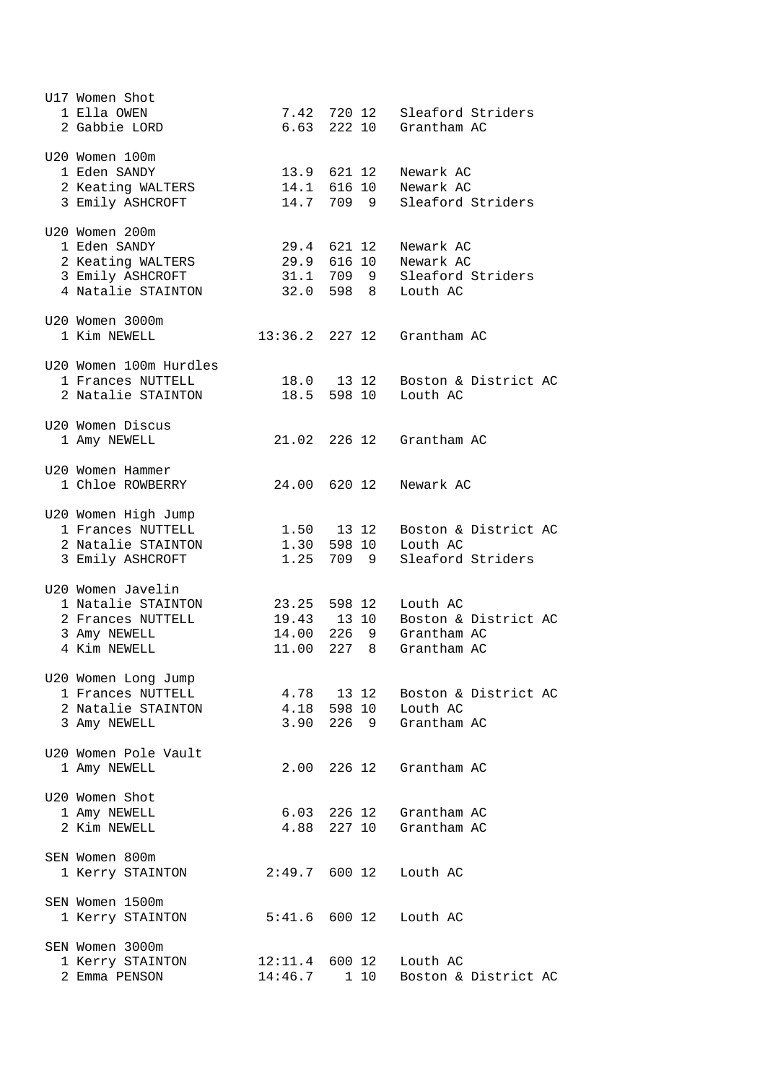| U17 Women Shot<br>1 Ella OWEN<br>2 Gabbie LORD                                                |                | 7.42 720 12                              | Sleaford Striders<br>6.63 222 10 Grantham AC                                              |
|-----------------------------------------------------------------------------------------------|----------------|------------------------------------------|-------------------------------------------------------------------------------------------|
| U20 Women 100m<br>1 Eden SANDY<br>2 Keating WALTERS<br>3 Emily ASHCROFT                       |                | 13.9 621 12<br>14.1 616 10<br>14.7 709 9 | Newark AC<br>Newark AC<br>Sleaford Striders                                               |
| U20 Women 200m<br>1 Eden SANDY<br>2 Keating WALTERS<br>3 Emily ASHCROFT<br>4 Natalie STAINTON |                | 29.4 621 12                              | Newark AC<br>29.9 616 10 Newark AC<br>31.1 709 9 Sleaford Striders<br>32.0 598 8 Louth AC |
| U20 Women 3000m<br>1 Kim NEWELL                                                               |                |                                          | $13:36.2$ 227 12 Grantham AC                                                              |
| U20 Women 100m Hurdles<br>1 Frances NUTTELL<br>2 Natalie STAINTON                             |                | 18.0 13 12<br>18.5 598 10                | Boston & District AC<br>Louth AC                                                          |
| U20 Women Discus<br>1 Amy NEWELL                                                              |                |                                          | 21.02 226 12 Grantham AC                                                                  |
| U20 Women Hammer<br>1 Chloe ROWBERRY                                                          |                | 24.00 620 12                             | Newark AC                                                                                 |
| U20 Women High Jump<br>1 Frances NUTTELL<br>2 Natalie STAINTON<br>3 Emily ASHCROFT            |                | 1.50 13 12<br>1.30 598 10<br>1.25 709 9  | Boston & District AC<br>Louth AC<br>Sleaford Striders                                     |
| U20 Women Javelin<br>1 Natalie STAINTON<br>2 Frances NUTTELL<br>3 Amy NEWELL<br>4 Kim NEWELL  | 19.43<br>11.00 | 23.25 598 12<br>13 10<br>227 8           | Louth AC<br>Boston & District AC<br>14.00 226 9 Grantham AC<br>Grantham AC                |
| U20 Women Long Jump<br>1 Frances NUTTELL<br>2 Natalie STAINTON<br>3 Amy NEWELL                | 4.78           | 13 12<br>4.18 598 10                     | Boston & District AC<br>Louth AC<br>3.90 226 9 Grantham AC                                |
| U20 Women Pole Vault<br>1 Amy NEWELL                                                          | 2.00           |                                          | 226 12 Grantham AC                                                                        |
| U20 Women Shot<br>1 Amy NEWELL<br>2 Kim NEWELL                                                | 4.88           | 6.03 226 12<br>227 10                    | Grantham AC<br>Grantham AC                                                                |
| SEN Women 800m<br>1 Kerry STAINTON                                                            |                | 2:49.7 600 12                            | Louth AC                                                                                  |
| SEN Women 1500m<br>1 Kerry STAINTON                                                           |                | $5:41.6$ 600 12                          | Louth AC                                                                                  |
| SEN Women 3000m<br>1 Kerry STAINTON<br>2 Emma PENSON                                          | 14:46.7        | $12:11.4$ 600 12<br>1 10                 | Louth AC<br>Boston & District AC                                                          |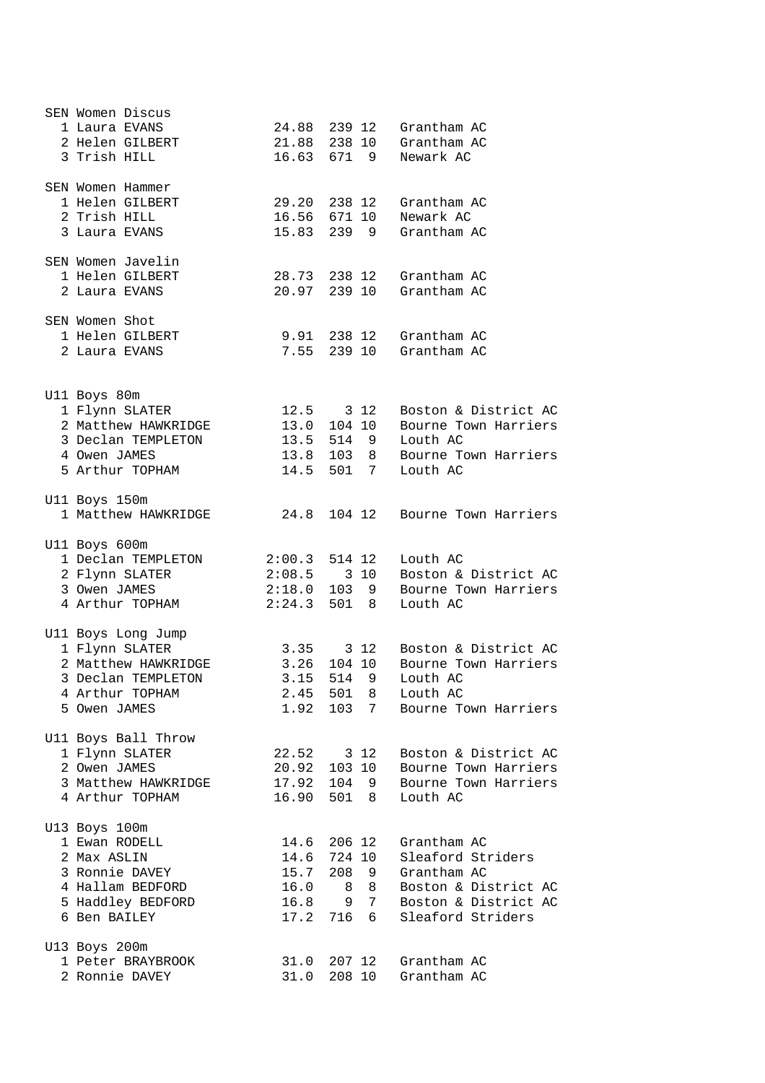| SEN Women Discus<br>1 Laura EVANS<br>2 Helen GILBERT<br>3 Trish HILL                                                     |                              |                                                                   | 24.88 239 12 Grantham AC<br>21.88 238 10 Grantham AC<br>16.63 671 9 Newark AC                                        |
|--------------------------------------------------------------------------------------------------------------------------|------------------------------|-------------------------------------------------------------------|----------------------------------------------------------------------------------------------------------------------|
| SEN Women Hammer<br>1 Helen GILBERT<br>2 Trish HILL<br>3 Laura EVANS                                                     |                              | 29.20 238 12<br>16.56 671 10                                      | Grantham AC<br>Newark AC<br>15.83 239 9 Grantham AC                                                                  |
| SEN Women Javelin<br>1 Helen GILBERT<br>2 Laura EVANS                                                                    |                              | 20.97 239 10                                                      | 28.73 238 12 Grantham AC<br>Grantham AC                                                                              |
| SEN Women Shot<br>1 Helen GILBERT<br>2 Laura EVANS                                                                       | 7.55                         |                                                                   | 9.91 238 12 Grantham AC<br>239 10 Grantham AC                                                                        |
| U11 Boys 80m<br>1 Flynn SLATER<br>2 Matthew HAWKRIDGE<br>3 Declan TEMPLETON<br>4 Owen JAMES<br>5 Arthur TOPHAM           | 14.5                         | $12.5$ $312$<br>13.0 104 10<br>501 7                              | Boston & District AC<br>Bourne Town Harriers<br>13.5 514 9 Louth AC<br>13.8 103 8 Bourne Town Harriers<br>Louth AC   |
| Ull Boys 150m<br>1 Matthew HAWKRIDGE                                                                                     |                              | 24.8 104 12                                                       | Bourne Town Harriers                                                                                                 |
| Ull Boys 600m<br>1 Declan TEMPLETON<br>2 Flynn SLATER<br>3 Owen JAMES<br>4 Arthur TOPHAM                                 | 2:24.3                       | 501 8                                                             | 2:00.3 514 12 Louth AC<br>$2:08.5$ 3 10 Boston & District AC<br>2:18.0 103 9 Bourne Town Harriers<br>Louth AC        |
| Ull Boys Long Jump<br>1 Flynn SLATER<br>2 Matthew HAWKRIDGE<br>3 Declan TEMPLETON<br>4 Arthur TOPHAM<br>5 Owen JAMES     | 3.26<br>1.92                 | 3.35 3 12<br>104 10<br>3.15 514 9<br>2.45 501 8<br>103 7          | Boston & District AC<br>Bourne Town Harriers<br>Louth AC<br>Louth AC<br>Bourne Town Harriers                         |
| Ull Boys Ball Throw<br>1 Flynn SLATER<br>2 Owen JAMES<br>3 Matthew HAWKRIDGE<br>4 Arthur TOPHAM                          | 20.92<br>16.90               | 22.52 3 12<br>103 10<br>17.92 104 9<br>501 8                      | Boston & District AC<br>Bourne Town Harriers<br>Bourne Town Harriers<br>Louth AC                                     |
| U13 Boys 100m<br>1 Ewan RODELL<br>2 Max ASLIN<br>3 Ronnie DAVEY<br>4 Hallam BEDFORD<br>5 Haddley BEDFORD<br>6 Ben BAILEY | 14.6<br>15.7<br>16.0<br>17.2 | 14.6 206 12<br>724 10<br>208 9<br>$8\quad 8$<br>16.8 9 7<br>716 6 | Grantham AC<br>Sleaford Striders<br>Grantham AC<br>Boston & District AC<br>Boston & District AC<br>Sleaford Striders |
| U13 Boys 200m<br>1 Peter BRAYBROOK<br>2 Ronnie DAVEY                                                                     | 31.0                         | 31.0 207 12<br>208 10                                             | Grantham AC<br>Grantham AC                                                                                           |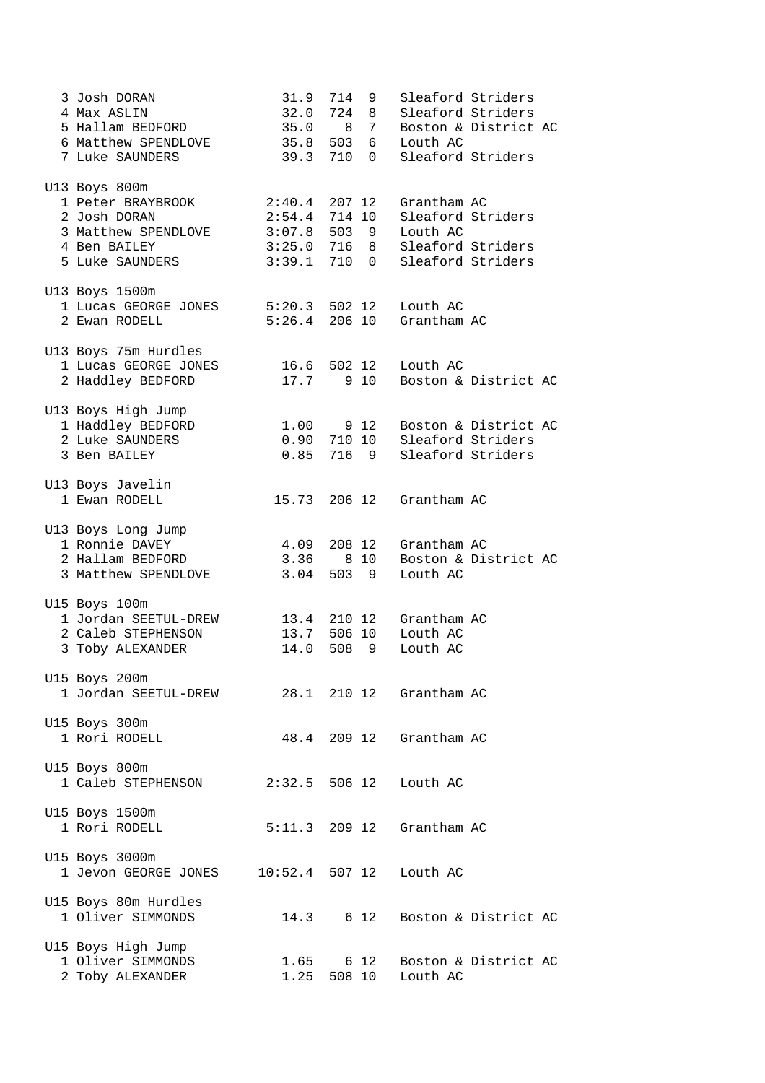| 3 Josh DORAN<br>4 Max ASLIN<br>5 Hallam BEDFORD<br>6 Matthew SPENDLOVE<br>7 Luke SAUNDERS                    | 31.9<br>32.0<br>35.0 8 7<br>35.8 503 6<br>39.3 710 0                                     | 714<br>724 8 | 9     | Sleaford Striders<br>Sleaford Striders<br>Louth AC<br>Sleaford Striders                | Boston & District AC      |
|--------------------------------------------------------------------------------------------------------------|------------------------------------------------------------------------------------------|--------------|-------|----------------------------------------------------------------------------------------|---------------------------|
| U13 Boys 800m<br>1 Peter BRAYBROOK<br>2 Josh DORAN<br>3 Matthew SPENDLOVE<br>4 Ben BAILEY<br>5 Luke SAUNDERS | $2:40.4$ 207 12<br>$2:54.4$ 714 10<br>$3:07.8$ 503 9<br>$3:25.0$ 716 8<br>$3:39.1$ 710 0 |              |       | Grantham AC<br>Sleaford Striders<br>Louth AC<br>Sleaford Striders<br>Sleaford Striders |                           |
| U13 Boys 1500m<br>1 Lucas GEORGE JONES<br>2 Ewan RODELL                                                      | 5:20.3 502 12<br>$5:26.4$ 206 10                                                         |              |       | Louth AC<br>Grantham AC                                                                |                           |
| U13 Boys 75m Hurdles<br>1 Lucas GEORGE JONES<br>2 Haddley BEDFORD                                            | 16.6 502 12<br>17.7 9 10                                                                 |              |       | Louth AC                                                                               | Boston & District AC      |
| U13 Boys High Jump<br>1 Haddley BEDFORD<br>2 Luke SAUNDERS<br>3 Ben BAILEY                                   | 1.00 9 12<br>0.90 710 10<br>$0.85$ 716 9                                                 |              |       | Sleaford Striders<br>Sleaford Striders                                                 | Boston & District AC      |
| U13 Boys Javelin<br>1 Ewan RODELL                                                                            |                                                                                          |              |       | 15.73 206 12 Grantham AC                                                               |                           |
| U13 Boys Long Jump<br>1 Ronnie DAVEY<br>2 Hallam BEDFORD<br>3 Matthew SPENDLOVE                              | 4.09 208 12<br>$3.36$ $810$<br>$3.04$ 503 9                                              |              |       | Grantham AC<br>Louth AC                                                                | Boston & District AC      |
| U15 Boys 100m<br>1 Jordan SEETUL-DREW<br>2 Caleb STEPHENSON<br>3 Toby ALEXANDER                              | 13.7 506 10<br>14.0                                                                      |              | 508 9 | 13.4 210 12 Grantham AC<br>Louth AC<br>Louth AC                                        |                           |
| U15 Boys 200m<br>1 Jordan SEETUL-DREW                                                                        |                                                                                          |              |       | 28.1 210 12 Grantham AC                                                                |                           |
| U15 Boys 300m<br>1 Rori RODELL                                                                               |                                                                                          |              |       | 48.4 209 12 Grantham AC                                                                |                           |
| U15 Boys 800m<br>1 Caleb STEPHENSON                                                                          |                                                                                          |              |       | 2:32.5 506 12 Louth AC                                                                 |                           |
| U15 Boys 1500m<br>1 Rori RODELL                                                                              |                                                                                          |              |       | 5:11.3 209 12 Grantham AC                                                              |                           |
| U15 Boys 3000m<br>1 Jevon GEORGE JONES                                                                       | $10:52.4$ 507 12                                                                         |              |       | Louth AC                                                                               |                           |
| U15 Boys 80m Hurdles<br>1 Oliver SIMMONDS                                                                    | 14.3                                                                                     |              | 6 12  |                                                                                        | Boston & District AC      |
| U15 Boys High Jump<br>1 Oliver SIMMONDS<br>2 Toby ALEXANDER                                                  | 1.65<br>1.25 508 10                                                                      |              |       | Louth AC                                                                               | 6 12 Boston & District AC |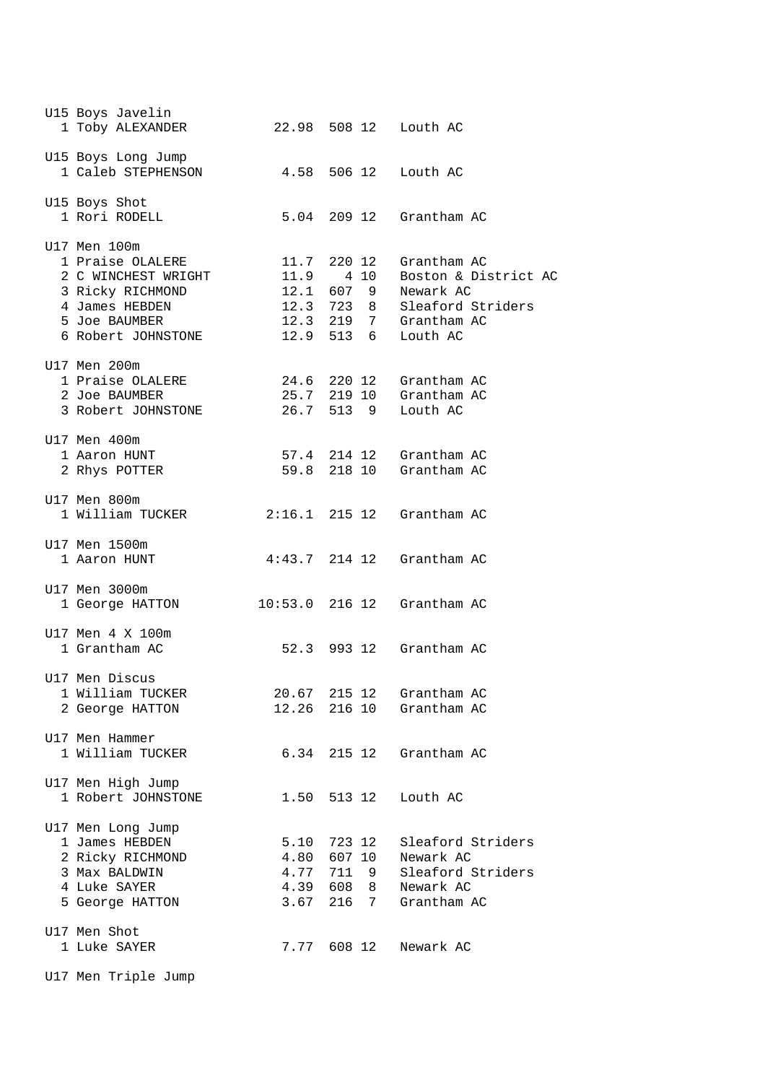| U15 Boys Javelin<br>1 Toby ALEXANDER                                                                                                 |                              |                                                  | 22.98 508 12 Louth AC                                                                                                                                        |
|--------------------------------------------------------------------------------------------------------------------------------------|------------------------------|--------------------------------------------------|--------------------------------------------------------------------------------------------------------------------------------------------------------------|
| U15 Boys Long Jump<br>1 Caleb STEPHENSON                                                                                             |                              |                                                  | 4.58 506 12 Louth AC                                                                                                                                         |
| U15 Boys Shot<br>1 Rori RODELL                                                                                                       |                              |                                                  | 5.04 209 12 Grantham AC                                                                                                                                      |
| U17 Men 100m<br>1 Praise OLALERE<br>2 C WINCHEST WRIGHT<br>3 Ricky RICHMOND<br>4 James HEBDEN<br>5 Joe BAUMBER<br>6 Robert JOHNSTONE |                              | 11.9 4 10                                        | 11.7 220 12 Grantham AC<br>Boston & District AC<br>12.1 607 9 Newark AC<br>12.3 723 8 Sleaford Striders<br>$12.3$ $219$ 7 Grantham AC<br>12.9 513 6 Louth AC |
| U17 Men 200m<br>1 Praise OLALERE<br>2 Joe BAUMBER<br>3 Robert JOHNSTONE                                                              |                              | 26.7 513 9                                       | 24.6 220 12 Grantham AC<br>25.7 219 10 Grantham AC<br>Louth AC                                                                                               |
| U17 Men 400m<br>1 Aaron HUNT<br>2 Rhys POTTER                                                                                        |                              |                                                  | 57.4 214 12 Grantham AC<br>59.8 218 10 Grantham AC                                                                                                           |
| U17 Men 800m<br>1 William TUCKER                                                                                                     |                              |                                                  | 2:16.1 215 12 Grantham AC                                                                                                                                    |
| U17 Men 1500m<br>1 Aaron HUNT                                                                                                        |                              |                                                  | $4:43.7$ 214 12 Grantham AC                                                                                                                                  |
| U17 Men 3000m<br>1 George HATTON                                                                                                     |                              |                                                  | $10:53.0$ 216 12 Grantham AC                                                                                                                                 |
| U17 Men 4 X 100m<br>1 Grantham AC                                                                                                    |                              |                                                  | 52.3 993 12 Grantham AC                                                                                                                                      |
| U17 Men Discus<br>1 William TUCKER<br>2 George HATTON                                                                                | 12.26                        | 20.67 215 12<br>216 10                           | Grantham AC<br>Grantham AC                                                                                                                                   |
| U17 Men Hammer<br>1 William TUCKER                                                                                                   |                              |                                                  | 6.34 215 12 Grantham AC                                                                                                                                      |
| U17 Men High Jump<br>1 Robert JOHNSTONE                                                                                              | 1.50                         | 513 12                                           | Louth AC                                                                                                                                                     |
| U17 Men Long Jump<br>1 James HEBDEN<br>2 Ricky RICHMOND<br>3 Max BALDWIN<br>4 Luke SAYER<br>5 George HATTON                          | 5.10<br>4.80<br>4.77<br>3.67 | 723 12<br>607 10<br>711 9<br>4.39 608 8<br>216 7 | Sleaford Striders<br>Newark AC<br>Sleaford Striders<br>Newark AC<br>Grantham AC                                                                              |
| U17 Men Shot<br>1 Luke SAYER                                                                                                         |                              | 7.77 608 12                                      | Newark AC                                                                                                                                                    |
| U17 Men Triple Jump                                                                                                                  |                              |                                                  |                                                                                                                                                              |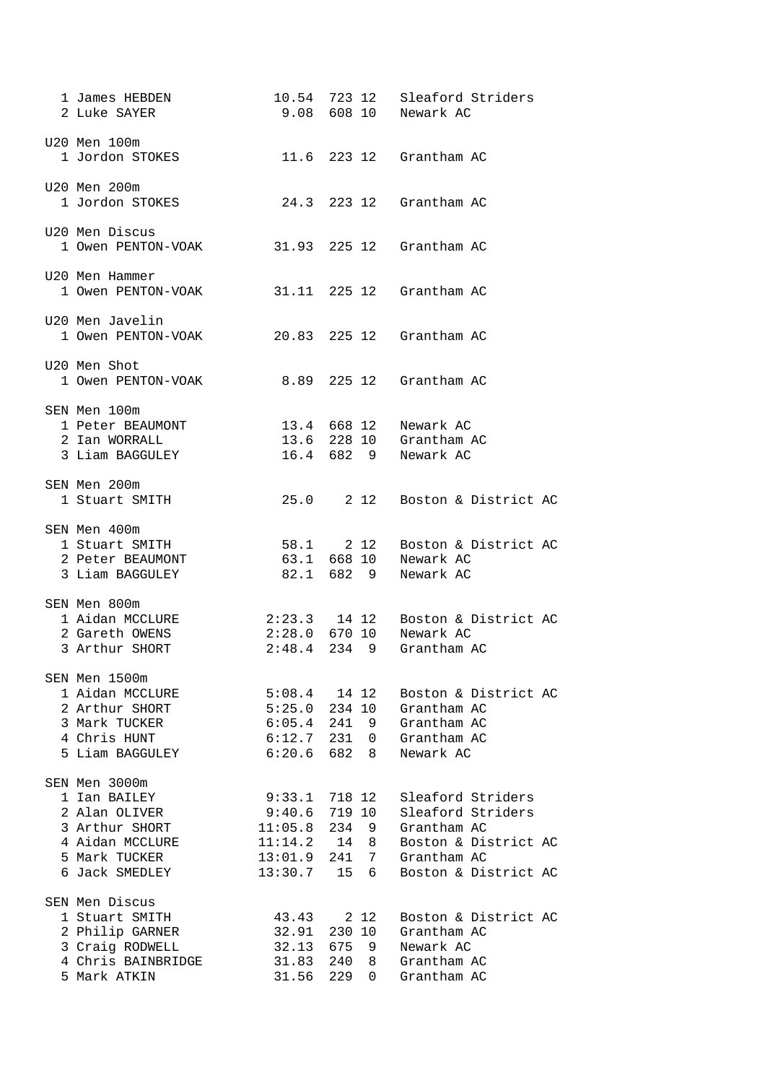| 1 James HEBDEN<br>2 Luke SAYER                                                                                         |                                                                    |                                                                                         | 10.54 723 12 Sleaford Striders<br>9.08 608 10 Newark AC                                                              |
|------------------------------------------------------------------------------------------------------------------------|--------------------------------------------------------------------|-----------------------------------------------------------------------------------------|----------------------------------------------------------------------------------------------------------------------|
| U20 Men 100m<br>1 Jordon STOKES                                                                                        |                                                                    |                                                                                         | 11.6 223 12 Grantham AC                                                                                              |
| U20 Men 200m<br>1 Jordon STOKES                                                                                        |                                                                    |                                                                                         | 24.3 223 12 Grantham AC                                                                                              |
| U20 Men Discus<br>1 Owen PENTON-VOAK                                                                                   |                                                                    |                                                                                         | 31.93 225 12 Grantham AC                                                                                             |
| U20 Men Hammer<br>1 Owen PENTON-VOAK                                                                                   |                                                                    |                                                                                         | 31.11 225 12 Grantham AC                                                                                             |
| U20 Men Javelin<br>1 Owen PENTON-VOAK                                                                                  |                                                                    |                                                                                         | 20.83 225 12 Grantham AC                                                                                             |
| U20 Men Shot<br>1 Owen PENTON-VOAK                                                                                     |                                                                    |                                                                                         | 8.89 225 12 Grantham AC                                                                                              |
| SEN Men 100m<br>1 Peter BEAUMONT<br>2 Ian WORRALL<br>3 Liam BAGGULEY                                                   |                                                                    |                                                                                         | 13.4 668 12 Newark AC<br>13.6 228 10 Grantham AC<br>16.4 682 9 Newark AC                                             |
| SEN Men 200m<br>1 Stuart SMITH                                                                                         |                                                                    |                                                                                         | 25.0 2 12 Boston & District AC                                                                                       |
| SEN Men 400m<br>1 Stuart SMITH<br>2 Peter BEAUMONT<br>3 Liam BAGGULEY                                                  |                                                                    |                                                                                         | 58.1 2 12 Boston & District AC<br>63.1 668 10 Newark AC<br>82.1 682 9 Newark AC                                      |
| SEN Men 800m<br>1 Aidan MCCLURE<br>2 Gareth OWENS<br>3 Arthur SHORT                                                    |                                                                    |                                                                                         | 2:23.3 14 12 Boston & District AC<br>2:28.0 670 10 Newark AC<br>2:48.4 234 9 Grantham AC                             |
| SEN Men 1500m<br>1 Aidan MCCLURE<br>2 Arthur SHORT<br>3 Mark TUCKER<br>4 Chris HUNT<br>5 Liam BAGGULEY                 |                                                                    | $5:08.4$ 14 12<br>$5:25.0$ 234 10<br>$6:05.4$ 241 9<br>$6:12.7$ 231 0<br>$6:20.6$ 682 8 | Boston & District AC<br>Grantham AC<br>Grantham AC<br>Grantham AC<br>Newark AC                                       |
| SEN Men 3000m<br>1 Ian BAILEY<br>2 Alan OLIVER<br>3 Arthur SHORT<br>4 Aidan MCCLURE<br>5 Mark TUCKER<br>6 Jack SMEDLEY | 9:33.1<br>9:40.6<br>11:05.8<br>11:14.2<br>13:01.9 241 7<br>13:30.7 | 718 12<br>719 10<br>234 9<br>14 8<br>15 6                                               | Sleaford Striders<br>Sleaford Striders<br>Grantham AC<br>Boston & District AC<br>Grantham AC<br>Boston & District AC |
| SEN Men Discus<br>1 Stuart SMITH<br>2 Philip GARNER<br>3 Craig RODWELL<br>4 Chris BAINBRIDGE<br>5 Mark ATKIN           | 43.43<br>32.91<br>32.13<br>31.56                                   | 2 12<br>230 10<br>6759<br>31.83 240 8<br>229 0                                          | Boston & District AC<br>Grantham AC<br>Newark AC<br>Grantham AC<br>Grantham AC                                       |